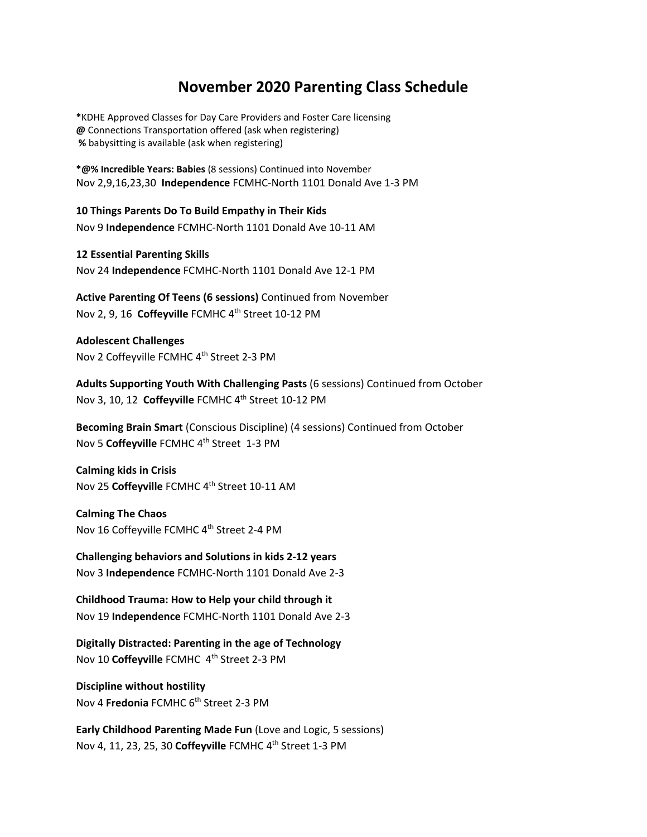## **November 2020 Parenting Class Schedule**

**\***KDHE Approved Classes for Day Care Providers and Foster Care licensing **@** Connections Transportation offered (ask when registering)  **%** babysitting is available (ask when registering)

**\*@% Incredible Years: Babies** (8 sessions) Continued into November Nov 2,9,16,23,30 **Independence** FCMHC-North 1101 Donald Ave 1-3 PM

**10 Things Parents Do To Build Empathy in Their Kids**  Nov 9 **Independence** FCMHC-North 1101 Donald Ave 10-11 AM

**12 Essential Parenting Skills**  Nov 24 **Independence** FCMHC-North 1101 Donald Ave 12-1 PM

**Active Parenting Of Teens (6 sessions)** Continued from November Nov 2, 9, 16 **Coffeyville** FCMHC 4th Street 10-12 PM

**Adolescent Challenges** Nov 2 Coffeyville FCMHC 4<sup>th</sup> Street 2-3 PM

**Adults Supporting Youth With Challenging Pasts** (6 sessions) Continued from October Nov 3, 10, 12 Coffeyville FCMHC 4<sup>th</sup> Street 10-12 PM

**Becoming Brain Smart** (Conscious Discipline) (4 sessions) Continued from October Nov 5 **Coffeyville** FCMHC 4th Street 1-3 PM

**Calming kids in Crisis**  Nov 25 **Coffeyville** FCMHC 4th Street 10-11 AM

**Calming The Chaos** Nov 16 Coffeyville FCMHC 4th Street 2-4 PM

**Challenging behaviors and Solutions in kids 2-12 years** Nov 3 **Independence** FCMHC-North 1101 Donald Ave 2-3

**Childhood Trauma: How to Help your child through it**  Nov 19 **Independence** FCMHC-North 1101 Donald Ave 2-3

**Digitally Distracted: Parenting in the age of Technology**  Nov 10 **Coffeyville** FCMHC 4th Street 2-3 PM

**Discipline without hostility**  Nov 4 **Fredonia** FCMHC 6<sup>th</sup> Street 2-3 PM

**Early Childhood Parenting Made Fun** (Love and Logic, 5 sessions) Nov 4, 11, 23, 25, 30 **Coffeyville** FCMHC 4th Street 1-3 PM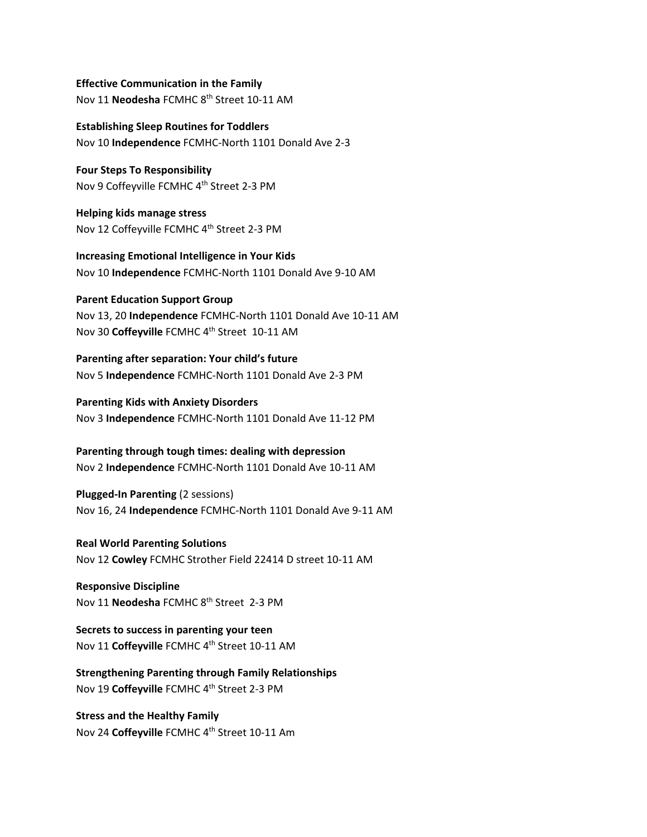**Effective Communication in the Family**  Nov 11 **Neodesha** FCMHC 8th Street 10-11 AM

**Establishing Sleep Routines for Toddlers** Nov 10 **Independence** FCMHC-North 1101 Donald Ave 2-3

**Four Steps To Responsibility** Nov 9 Coffeyville FCMHC 4<sup>th</sup> Street 2-3 PM

**Helping kids manage stress**  Nov 12 Coffeyville FCMHC 4<sup>th</sup> Street 2-3 PM

**Increasing Emotional Intelligence in Your Kids**  Nov 10 **Independence** FCMHC-North 1101 Donald Ave 9-10 AM

**Parent Education Support Group** Nov 13, 20 **Independence** FCMHC-North 1101 Donald Ave 10-11 AM Nov 30 **Coffeyville** FCMHC 4th Street 10-11 AM

**Parenting after separation: Your child's future**  Nov 5 **Independence** FCMHC-North 1101 Donald Ave 2-3 PM

**Parenting Kids with Anxiety Disorders**  Nov 3 **Independence** FCMHC-North 1101 Donald Ave 11-12 PM

**Parenting through tough times: dealing with depression**  Nov 2 **Independence** FCMHC-North 1101 Donald Ave 10-11 AM

**Plugged-In Parenting** (2 sessions) Nov 16, 24 **Independence** FCMHC-North 1101 Donald Ave 9-11 AM

**Real World Parenting Solutions** Nov 12 **Cowley** FCMHC Strother Field 22414 D street 10-11 AM

**Responsive Discipline**  Nov 11 **Neodesha** FCMHC 8th Street 2-3 PM

**Secrets to success in parenting your teen** Nov 11 Coffeyville FCMHC 4<sup>th</sup> Street 10-11 AM

**Strengthening Parenting through Family Relationships**  Nov 19 **Coffeyville** FCMHC 4th Street 2-3 PM

**Stress and the Healthy Family**  Nov 24 Coffeyville FCMHC 4<sup>th</sup> Street 10-11 Am